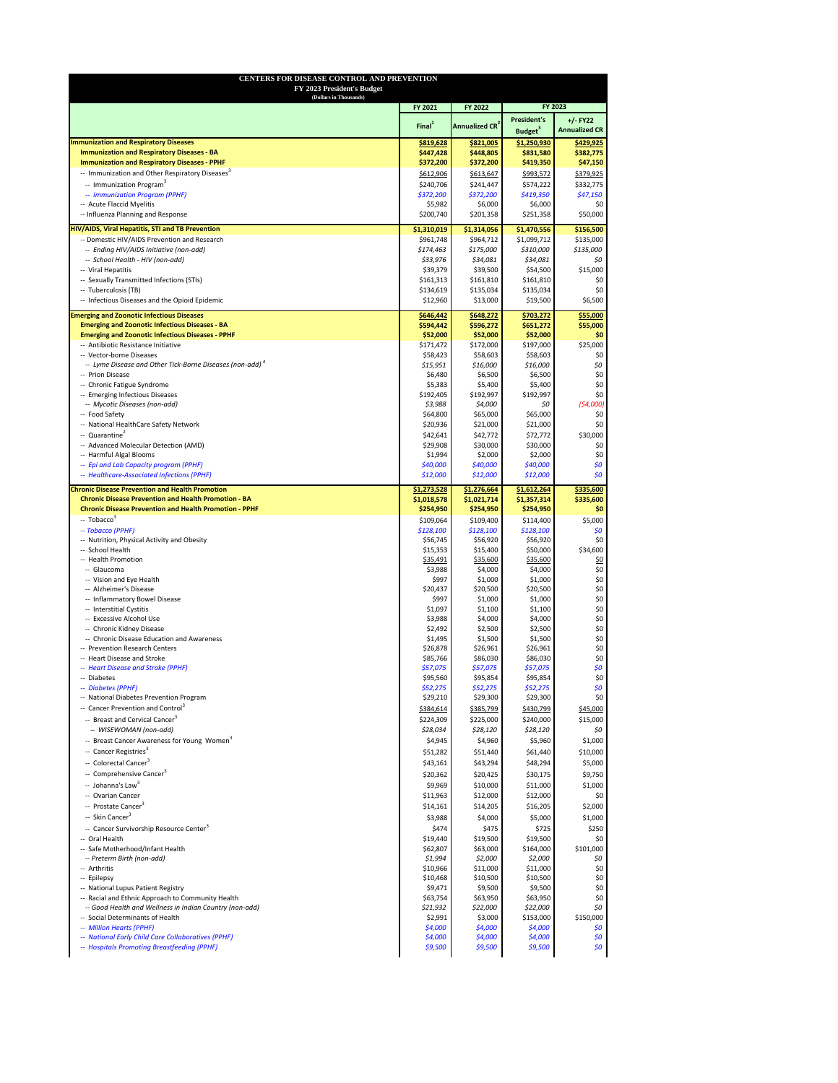| (Dollars in Thousands)                                                                                                                                                                                                                                                                                                       |                        |                                  |                                           |                                    |
|------------------------------------------------------------------------------------------------------------------------------------------------------------------------------------------------------------------------------------------------------------------------------------------------------------------------------|------------------------|----------------------------------|-------------------------------------------|------------------------------------|
|                                                                                                                                                                                                                                                                                                                              | FY 2021                | FY 2022                          |                                           | FY 2023                            |
|                                                                                                                                                                                                                                                                                                                              | Final <sup>1</sup>     | <b>Annualized CR<sup>2</sup></b> | <b>President's</b><br>Budget <sup>3</sup> | $+/-$ FY22<br><b>Annualized CR</b> |
| <b>Immunization and Respiratory Diseases</b>                                                                                                                                                                                                                                                                                 | \$819,628              | \$821,005                        | \$1,250,930                               | \$429,925                          |
| <b>Immunization and Respiratory Diseases - BA</b>                                                                                                                                                                                                                                                                            | \$447,428              | \$448,805                        | \$831,580                                 | \$382,775                          |
| <b>Immunization and Respiratory Diseases - PPHF</b>                                                                                                                                                                                                                                                                          | \$372,200              | \$372,200                        | \$419,350                                 | \$47,150                           |
| -- Immunization and Other Respiratory Diseases <sup>3</sup>                                                                                                                                                                                                                                                                  | \$612,906              | \$613,647                        | \$993,572                                 | \$379,925                          |
| -- Immunization Program <sup>3</sup><br>-- Immunization Program (PPHF)                                                                                                                                                                                                                                                       | \$240,706<br>\$372,200 | \$241,447<br>\$372,200           | \$574,222<br>\$419,350                    | \$332,775<br>\$47,150              |
| -- Acute Flaccid Myelitis                                                                                                                                                                                                                                                                                                    | \$5,982                | \$6,000                          | \$6,000                                   | \$0                                |
| -- Influenza Planning and Response                                                                                                                                                                                                                                                                                           | \$200,740              | \$201,358                        | \$251,358                                 | \$50,000                           |
| <b>HIV/AIDS, Viral Hepatitis, STI and TB Prevention</b>                                                                                                                                                                                                                                                                      | \$1,310,019            | \$1,314,056                      | \$1,470,556                               | \$156,500                          |
| -- Domestic HIV/AIDS Prevention and Research                                                                                                                                                                                                                                                                                 | \$961,748              | \$964,712                        | \$1,099,712                               | \$135,000                          |
| -- Ending HIV/AIDS Initiative (non-add)                                                                                                                                                                                                                                                                                      | \$174,463              | \$175,000                        | \$310,000                                 | \$135,000                          |
| -- School Health - HIV (non-add)                                                                                                                                                                                                                                                                                             | \$33,976               | \$34,081                         | \$34,081                                  | \$0                                |
| -- Viral Hepatitis                                                                                                                                                                                                                                                                                                           | \$39,379               | \$39,500                         | \$54,500                                  | \$15,000                           |
| -- Sexually Transmitted Infections (STIs)                                                                                                                                                                                                                                                                                    | \$161,313              | \$161,810                        | \$161,810                                 | \$0                                |
| -- Tuberculosis (TB)                                                                                                                                                                                                                                                                                                         | \$134,619              | \$135,034                        | \$135,034                                 | \$0                                |
| -- Infectious Diseases and the Opioid Epidemic                                                                                                                                                                                                                                                                               | \$12,960               | \$13,000                         | \$19,500                                  | \$6,500                            |
| <b>Emerging and Zoonotic Infectious Diseases</b>                                                                                                                                                                                                                                                                             | \$646,442              | \$648,272                        | \$703,272                                 | \$55,000                           |
| <b>Emerging and Zoonotic Infectious Diseases - BA</b>                                                                                                                                                                                                                                                                        | \$594,442              | \$596,272                        | \$651,272                                 | \$55,000                           |
| <b>Emerging and Zoonotic Infectious Diseases - PPHF</b>                                                                                                                                                                                                                                                                      | \$52,000               | \$52,000                         | \$52,000                                  | \$0                                |
| -- Antibiotic Resistance Initiative                                                                                                                                                                                                                                                                                          | \$171,472              | \$172,000                        | \$197,000                                 | \$25,000                           |
| -- Vector-borne Diseases                                                                                                                                                                                                                                                                                                     | \$58,423               | \$58,603                         | \$58,603                                  | \$0                                |
| -- Lyme Disease and Other Tick-Borne Diseases (non-add) <sup>4</sup>                                                                                                                                                                                                                                                         | \$15,951               | \$16,000                         | \$16,000                                  | \$0                                |
| -- Prion Disease                                                                                                                                                                                                                                                                                                             | \$6,480                | \$6,500                          | \$6,500                                   | \$0\$                              |
| -- Chronic Fatigue Syndrome<br>-- Emerging Infectious Diseases                                                                                                                                                                                                                                                               | \$5,383<br>\$192,405   | \$5,400<br>\$192,997             | \$5,400<br>\$192,997                      | \$0<br>\$0\$                       |
| -- Mycotic Diseases (non-add)                                                                                                                                                                                                                                                                                                | \$3,988                | \$4,000                          | \$0                                       | (54,000)                           |
| -- Food Safety                                                                                                                                                                                                                                                                                                               | \$64,800               | \$65,000                         | \$65,000                                  | \$0                                |
| -- National HealthCare Safety Network                                                                                                                                                                                                                                                                                        | \$20,936               | \$21,000                         | \$21,000                                  | \$0                                |
| -- Quarantine <sup>2</sup>                                                                                                                                                                                                                                                                                                   | \$42,641               | \$42,772                         | \$72,772                                  | \$30,000                           |
| -- Advanced Molecular Detection (AMD)                                                                                                                                                                                                                                                                                        | \$29,908               | \$30,000                         | \$30,000                                  | \$0                                |
| -- Harmful Algal Blooms                                                                                                                                                                                                                                                                                                      | \$1,994                | \$2,000                          | \$2,000                                   | \$0                                |
| -- Epi and Lab Capacity program (PPHF)                                                                                                                                                                                                                                                                                       | \$40,000               | \$40,000                         | \$40,000                                  | \$0                                |
| -- Healthcare-Associated Infections (PPHF)                                                                                                                                                                                                                                                                                   | \$12,000               | \$12,000                         | \$12,000                                  | \$0                                |
| <b>Chronic Disease Prevention and Health Promotion</b>                                                                                                                                                                                                                                                                       | \$1,273,528            | \$1,276,664                      | \$1,612,264                               | \$335,600                          |
| <b>Chronic Disease Prevention and Health Promotion - BA</b>                                                                                                                                                                                                                                                                  | \$1,018,578            | \$1,021,714                      | \$1,357,314                               | \$335,600                          |
| <b>Chronic Disease Prevention and Health Promotion - PPHF</b>                                                                                                                                                                                                                                                                | \$254,950              | \$254,950                        | \$254,950                                 | \$0                                |
| $-$ Tobacco <sup>3</sup>                                                                                                                                                                                                                                                                                                     | \$109,064              | \$109,400                        | \$114,400                                 | \$5,000                            |
|                                                                                                                                                                                                                                                                                                                              |                        |                                  |                                           |                                    |
|                                                                                                                                                                                                                                                                                                                              |                        |                                  |                                           |                                    |
|                                                                                                                                                                                                                                                                                                                              | \$128,100<br>\$56,745  | \$128,100<br>\$56,920            | \$128,100<br>\$56,920                     | \$0<br>\$0                         |
|                                                                                                                                                                                                                                                                                                                              | \$15,353               | \$15,400                         | \$50,000                                  | \$34,600                           |
|                                                                                                                                                                                                                                                                                                                              | \$35,491               | \$35,600                         | \$35,600                                  |                                    |
| -- Glaucoma                                                                                                                                                                                                                                                                                                                  | \$3,988                | \$4,000                          | \$4,000                                   | <u>\$0</u><br>\$0\$                |
| -- Vision and Eye Health                                                                                                                                                                                                                                                                                                     | \$997                  | \$1,000                          | \$1,000                                   | \$0                                |
| -- Alzheimer's Disease                                                                                                                                                                                                                                                                                                       | \$20,437               | \$20,500                         | \$20,500                                  | \$0                                |
| -- Inflammatory Bowel Disease                                                                                                                                                                                                                                                                                                | \$997                  | \$1,000                          | \$1,000                                   | \$0                                |
| -- Interstitial Cystitis                                                                                                                                                                                                                                                                                                     | \$1,097                | \$1,100                          | \$1,100                                   | \$0\$                              |
| -- Excessive Alcohol Use                                                                                                                                                                                                                                                                                                     | \$3,988                | \$4,000                          | \$4,000                                   | \$0                                |
| -- Chronic Kidney Disease                                                                                                                                                                                                                                                                                                    | \$2,492                | \$2,500                          | \$2,500                                   | \$0                                |
| -- Chronic Disease Education and Awareness                                                                                                                                                                                                                                                                                   | \$1,495                | \$1,500                          | \$1,500                                   | \$0                                |
|                                                                                                                                                                                                                                                                                                                              | \$26,878               | \$26,961                         | \$26,961                                  | \$0                                |
|                                                                                                                                                                                                                                                                                                                              | \$85,766<br>\$57,075   | \$86,030<br>\$57,075             | \$86,030<br>\$57,075                      | \$0                                |
|                                                                                                                                                                                                                                                                                                                              | \$95,560               | \$95,854                         | \$95,854                                  | \$0<br>\$0                         |
|                                                                                                                                                                                                                                                                                                                              | \$52,275               | \$52,275                         | \$52,275                                  | Ş0                                 |
|                                                                                                                                                                                                                                                                                                                              | \$29,210               | \$29,300                         | \$29,300                                  | \$0                                |
|                                                                                                                                                                                                                                                                                                                              | \$384,614              | \$385,799                        | \$430,799                                 | \$45,000                           |
| -- Breast and Cervical Cancer <sup>3</sup>                                                                                                                                                                                                                                                                                   | \$224,309              | \$225,000                        | \$240,000                                 | \$15,000                           |
| -- WISEWOMAN (non-add)                                                                                                                                                                                                                                                                                                       | \$28,034               | \$28,120                         | \$28,120                                  | \$0                                |
| -- Breast Cancer Awareness for Young Women <sup>3</sup>                                                                                                                                                                                                                                                                      | \$4,945                | \$4,960                          | \$5,960                                   | \$1,000                            |
| -- Cancer Registries <sup>3</sup>                                                                                                                                                                                                                                                                                            | \$51,282               | \$51,440                         | \$61,440                                  | \$10,000                           |
| -- Colorectal Cancer <sup>3</sup>                                                                                                                                                                                                                                                                                            | \$43,161               | \$43,294                         | \$48,294                                  | \$5,000                            |
| -- Comprehensive Cancer <sup>3</sup>                                                                                                                                                                                                                                                                                         | \$20,362               | \$20,425                         | \$30,175                                  | \$9,750                            |
| -- Johanna's Law <sup>3</sup>                                                                                                                                                                                                                                                                                                |                        |                                  |                                           |                                    |
| -- Ovarian Cancer                                                                                                                                                                                                                                                                                                            | \$9,969<br>\$11,963    | \$10,000<br>\$12,000             | \$11,000<br>\$12,000                      | \$1,000<br>\$0                     |
| -- Prostate Cancer <sup>3</sup>                                                                                                                                                                                                                                                                                              | \$14,161               | \$14,205                         | \$16,205                                  | \$2,000                            |
| -- Skin Cancer <sup>3</sup>                                                                                                                                                                                                                                                                                                  |                        | \$4,000                          |                                           |                                    |
|                                                                                                                                                                                                                                                                                                                              | \$3,988                |                                  | \$5,000                                   | \$1,000                            |
| -- Cancer Survivorship Resource Center <sup>3</sup>                                                                                                                                                                                                                                                                          | \$474                  | \$475                            | \$725                                     | \$250<br>\$0                       |
|                                                                                                                                                                                                                                                                                                                              | \$19,440<br>\$62,807   | \$19,500<br>\$63,000             | \$19,500<br>\$164,000                     |                                    |
| -- Preterm Birth (non-add)                                                                                                                                                                                                                                                                                                   | \$1,994                | \$2,000                          | \$2,000                                   | \$101,000<br>\$0                   |
|                                                                                                                                                                                                                                                                                                                              | \$10,966               | \$11,000                         | \$11,000                                  | \$0                                |
|                                                                                                                                                                                                                                                                                                                              | \$10,468               | \$10,500                         | \$10,500                                  | \$0                                |
| -- Nutrition, Physical Activity and Obesity<br>-- Heart Disease and Stroke<br>-- Diabetes (PPHF)<br>-- National Diabetes Prevention Program<br>-- Oral Health<br>-- National Lupus Patient Registry                                                                                                                          | \$9,471                | \$9,500                          | \$9,500                                   | \$0\$                              |
| -- Tobacco (PPHF)<br>-- School Health<br>-- Health Promotion<br>-- Prevention Research Centers<br>-- Heart Disease and Stroke (PPHF)<br>-- Diabetes<br>-- Cancer Prevention and Control <sup>3</sup><br>-- Safe Motherhood/Infant Health<br>-- Arthritis<br>-- Epilepsy<br>-- Racial and Ethnic Approach to Community Health | \$63,754               | \$63,950                         | \$63,950                                  | \$0                                |
| -- Good Health and Wellness in Indian Country (non-add)                                                                                                                                                                                                                                                                      | \$21,932               | \$22,000                         | \$22,000                                  | \$0                                |
| -- Social Determinants of Health                                                                                                                                                                                                                                                                                             | \$2,991                | \$3,000                          | \$153,000                                 | \$150,000                          |
| -- Million Hearts (PPHF)                                                                                                                                                                                                                                                                                                     | \$4,000                | \$4,000                          | \$4,000                                   | \$0                                |
| -- National Early Child Care Collaboratives (PPHF)<br>-- Hospitals Promoting Breastfeeding (PPHF)                                                                                                                                                                                                                            | \$4,000<br>\$9,500     | \$4,000<br>\$9,500               | \$4,000<br>\$9,500                        | 50<br>\$0                          |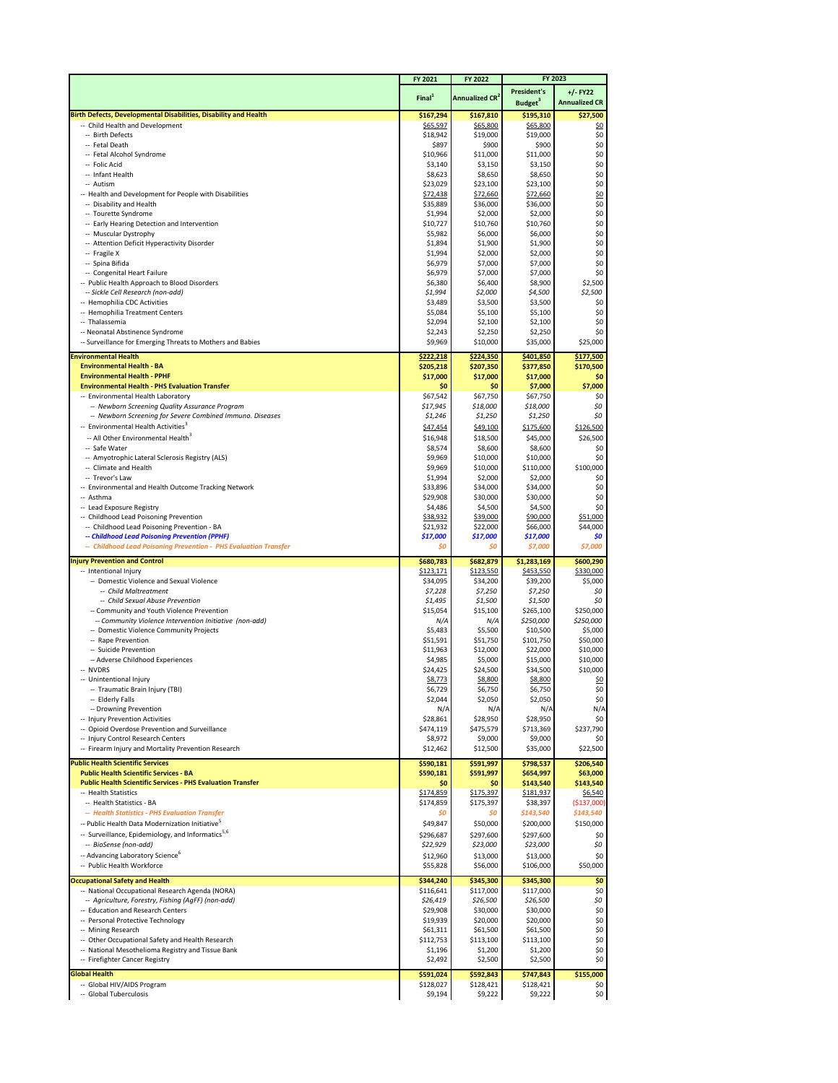|                                                                                                             | FY 2021               | FY 2022                          | <b>FY 2023</b>        |                        |
|-------------------------------------------------------------------------------------------------------------|-----------------------|----------------------------------|-----------------------|------------------------|
|                                                                                                             |                       |                                  | <b>President's</b>    | $+/-$ FY22             |
|                                                                                                             | Final <sup>1</sup>    | <b>Annualized CR<sup>2</sup></b> | Budget <sup>3</sup>   | <b>Annualized CR</b>   |
| Birth Defects, Developmental Disabilities, Disability and Health                                            | \$167,294             | \$167,810                        | \$195,310             | \$27,500               |
| -- Child Health and Development                                                                             | \$65,597              | \$65,800                         | \$65,800              | <u>\$0</u>             |
| -- Birth Defects<br>-- Fetal Death                                                                          | \$18,942<br>\$897     | \$19,000<br>\$900                | \$19,000<br>\$900     | \$0<br>\$0             |
| -- Fetal Alcohol Syndrome                                                                                   | \$10,966              | \$11,000                         | \$11,000              | \$0                    |
| -- Folic Acid                                                                                               | \$3,140               | \$3,150                          | \$3,150               | \$0                    |
| -- Infant Health                                                                                            | \$8,623               | \$8,650                          | \$8,650               | \$0                    |
| -- Autism                                                                                                   | \$23,029              | \$23,100                         | \$23,100              | \$0                    |
| -- Health and Development for People with Disabilities<br>-- Disability and Health                          | \$72,438<br>\$35,889  | \$72,660<br>\$36,000             | \$72,660<br>\$36,000  | <u>\$0</u><br>$$0$$    |
| -- Tourette Syndrome                                                                                        | \$1,994               | \$2,000                          | \$2,000               | \$0                    |
| -- Early Hearing Detection and Intervention                                                                 | \$10,727              | \$10,760                         | \$10,760              | \$0                    |
| -- Muscular Dystrophy                                                                                       | \$5,982               | \$6,000                          | \$6,000               | \$0                    |
| -- Attention Deficit Hyperactivity Disorder                                                                 | \$1,894               | \$1,900                          | \$1,900               | \$0                    |
| -- Fragile X<br>-- Spina Bifida                                                                             | \$1,994<br>\$6,979    | \$2,000<br>\$7,000               | \$2,000<br>\$7,000    | \$0<br>\$0             |
| -- Congenital Heart Failure                                                                                 | \$6,979               | \$7,000                          | \$7,000               | \$0                    |
| -- Public Health Approach to Blood Disorders                                                                | \$6,380               | \$6,400                          | \$8,900               | \$2,500                |
| -- Sickle Cell Research (non-add)                                                                           | \$1,994               | \$2,000                          | \$4,500               | \$2,500                |
| -- Hemophilia CDC Activities                                                                                | \$3,489               | \$3,500                          | \$3,500               | \$0                    |
| -- Hemophilia Treatment Centers                                                                             | \$5,084               | \$5,100                          | \$5,100               | \$0                    |
| -- Thalassemia<br>-- Neonatal Abstinence Syndrome                                                           | \$2,094<br>\$2,243    | \$2,100<br>\$2,250               | \$2,100<br>\$2,250    | \$0<br>\$0             |
| -- Surveillance for Emerging Threats to Mothers and Babies                                                  | \$9,969               | \$10,000                         | \$35,000              | \$25,000               |
| <b>Environmental Health</b>                                                                                 | \$222,218             | \$224,350                        | \$401,850             | \$177,500              |
| <b>Environmental Health - BA</b>                                                                            | \$205,218             | \$207,350                        | \$377,850             | \$170,500              |
| <b>Environmental Health - PPHF</b>                                                                          | \$17,000              | \$17,000                         | \$17,000              | \$0                    |
| <b>Environmental Health - PHS Evaluation Transfer</b>                                                       | \$0                   | \$0                              | \$7,000               | \$7,000                |
| -- Environmental Health Laboratory                                                                          | \$67,542              | \$67,750                         | \$67,750              | \$0                    |
| -- Newborn Screening Quality Assurance Program<br>-- Newborn Screening for Severe Combined Immuno. Diseases | \$17,945<br>\$1,246   | \$18,000<br>\$1,250              | \$18,000              | \$0<br>\$0             |
| -- Environmental Health Activities <sup>3</sup>                                                             |                       | \$49,100                         | \$1,250<br>\$175,600  | \$126,500              |
| -- All Other Environmental Health <sup>3</sup>                                                              | \$47,454<br>\$16,948  | \$18,500                         | \$45,000              | \$26,500               |
| -- Safe Water                                                                                               | \$8,574               | \$8,600                          | \$8,600               | \$0                    |
| -- Amyotrophic Lateral Sclerosis Registry (ALS)                                                             | \$9,969               | \$10,000                         | \$10,000              | \$0                    |
| -- Climate and Health                                                                                       | \$9,969               | \$10,000                         | \$110,000             | \$100,000              |
| -- Trevor's Law                                                                                             | \$1,994               | \$2,000                          | \$2,000               | \$0                    |
| -- Environmental and Health Outcome Tracking Network                                                        | \$33,896              | \$34,000                         | \$34,000              | \$0                    |
| -- Asthma<br>-- Lead Exposure Registry                                                                      | \$29,908<br>\$4,486   | \$30,000<br>\$4,500              | \$30,000<br>\$4,500   | \$0<br>\$0             |
| -- Childhood Lead Poisoning Prevention                                                                      | \$38,932              | \$39,000                         | \$90,000              | \$51,000               |
| -- Childhood Lead Poisoning Prevention - BA                                                                 | \$21,932              | \$22,000                         | \$66,000              | \$44,000               |
| -- Childhood Lead Poisoning Prevention (PPHF)                                                               | \$17,000              | \$17,000                         | \$17,000              | \$0                    |
| -- Childhood Lead Poisoning Prevention - PHS Evaluation Transfer                                            | \$0                   | \$0                              | \$7,000               | \$7,000                |
| <b>Injury Prevention and Control</b>                                                                        | \$680,783             | \$682,879                        | \$1,283,169           | \$600,290              |
| -- Intentional Injury                                                                                       | \$123,171             | \$123,550                        | \$453,550             | \$330,000              |
| -- Domestic Violence and Sexual Violence                                                                    | \$34,095              | \$34,200                         | \$39,200              | \$5,000                |
| -- Child Maltreatment<br>-- Child Sexual Abuse Prevention                                                   | \$7,228<br>\$1,495    | \$7,250<br>\$1,500               | \$7,250<br>\$1,500    | \$0<br>\$0             |
| -- Community and Youth Violence Prevention                                                                  | \$15,054              | \$15,100                         | \$265,100             | \$250,000              |
| -- Community Violence Intervention Initiative (non-add)                                                     | N/A                   | N/A                              | \$250,000             | \$250,000              |
| -- Domestic Violence Community Projects                                                                     | \$5,483               | \$5,500                          | \$10,500              | \$5,000                |
| -- Rape Prevention                                                                                          | \$51,591              | \$51,750                         | \$101,750             | \$50,000               |
| -- Suicide Prevention                                                                                       | \$11,963              | \$12,000                         | \$22,000              | \$10,000               |
| -- Adverse Childhood Experiences<br>-- NVDRS                                                                | \$4,985<br>\$24,425   | \$5,000<br>\$24,500              | \$15,000<br>\$34,500  | \$10,000<br>\$10,000   |
| -- Unintentional Injury                                                                                     | \$8,773               | \$8,800                          | \$8,800               | <u>\$0</u>             |
| -- Traumatic Brain Injury (TBI)                                                                             | \$6,729               | \$6,750                          | \$6,750               | \$0                    |
| -- Elderly Falls                                                                                            | \$2,044               | \$2,050                          | \$2,050               | \$0                    |
| -- Drowning Prevention                                                                                      | N/A                   | N/A                              | N/A                   | N/A                    |
| -- Injury Prevention Activities<br>-- Opioid Overdose Prevention and Surveillance                           | \$28,861<br>\$474,119 | \$28,950<br>\$475,579            | \$28,950<br>\$713,369 | \$0<br>\$237,790       |
| -- Injury Control Research Centers                                                                          | \$8,972               | \$9,000                          | \$9,000               | \$0                    |
| -- Firearm Injury and Mortality Prevention Research                                                         | \$12,462              | \$12,500                         | \$35,000              | \$22,500               |
| <b>Public Health Scientific Services</b>                                                                    | \$590,181             | \$591,997                        | \$798,537             | \$206,540              |
| <b>Public Health Scientific Services - BA</b>                                                               | \$590,181             | \$591,997                        | \$654,997             | \$63,000               |
| <b>Public Health Scientific Services - PHS Evaluation Transfer</b>                                          | \$0                   | \$0                              | \$143,540             | \$143,540              |
| -- Health Statistics                                                                                        | \$174,859             | \$175,397                        | \$181,937             | \$6,540                |
| -- Health Statistics - BA<br>-- Health Statistics - PHS Evaluation Transfer                                 | \$174,859<br>\$0      | \$175,397<br>\$0                 | \$38,397<br>\$143,540 | (\$137,000)            |
| -- Public Health Data Modernization Initiative <sup>5</sup>                                                 | \$49,847              | \$50,000                         | \$200,000             | \$143,540<br>\$150,000 |
| -- Surveillance, Epidemiology, and Informatics <sup>5,6</sup>                                               | \$296,687             | \$297,600                        | \$297,600             | \$0                    |
| -- BioSense (non-add)                                                                                       | \$22,929              | \$23,000                         | \$23,000              | \$0                    |
| -- Advancing Laboratory Science <sup>6</sup>                                                                | \$12,960              | \$13,000                         | \$13,000              | \$0                    |
| -- Public Health Workforce                                                                                  | \$55,828              | \$56,000                         | \$106,000             | \$50,000               |
| <b>Occupational Safety and Health</b>                                                                       | \$344,240             | \$345,300                        | \$345,300             | \$0                    |
| -- National Occupational Research Agenda (NORA)                                                             | \$116,641             | \$117,000                        | \$117,000             | \$0                    |
| -- Agriculture, Forestry, Fishing (AgFF) (non-add)                                                          | \$26,419              | \$26,500                         | \$26,500              | \$0                    |
| -- Education and Research Centers                                                                           | \$29,908              | \$30,000                         | \$30,000              | \$0                    |
| -- Personal Protective Technology                                                                           | \$19,939              | \$20,000                         | \$20,000              | \$0                    |
| -- Mining Research<br>Other Occupational Safety and Health Research                                         | \$61,311<br>\$112,753 | \$61,500<br>\$113,100            | \$61,500<br>\$113,100 | \$0<br>\$0             |
| -- National Mesothelioma Registry and Tissue Bank                                                           | \$1,196               | \$1,200                          | \$1,200               | \$0                    |
| -- Firefighter Cancer Registry                                                                              | \$2,492               | \$2,500                          | \$2,500               | \$0                    |
| <b>Global Health</b>                                                                                        | \$591,024             | \$592,843                        | \$747,843             | \$155,000              |
| -- Global HIV/AIDS Program                                                                                  | \$128,027             | \$128,421                        | \$128,421             | \$0                    |
| -- Global Tuberculosis                                                                                      | \$9,194               | \$9,222                          | \$9,222               | \$0                    |